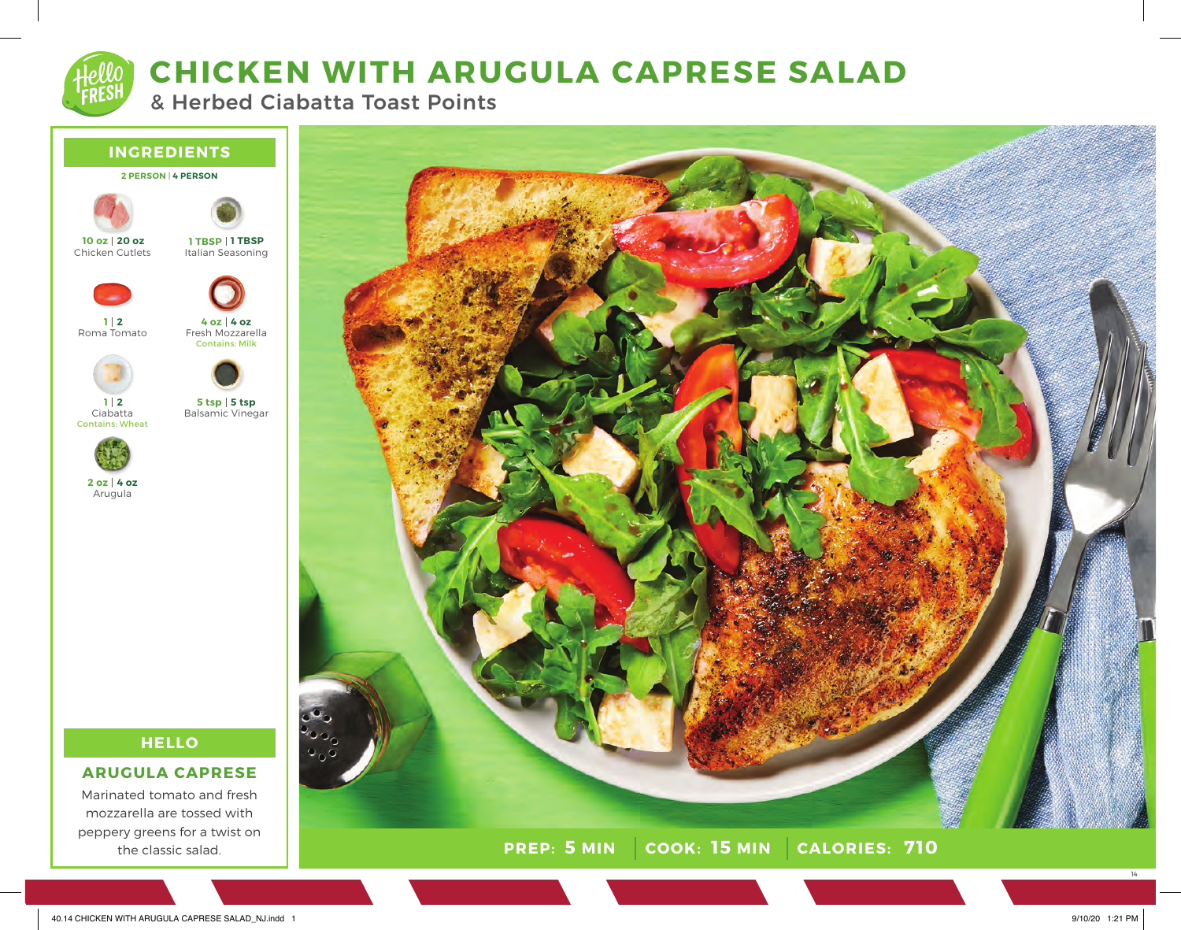# **CHICKEN WITH ARUGULA CAPRESE SALAD**

& Herbed Ciabatta Toast Points



Marinated tomato and fresh mozzarella are tossed with peppery greens for a twist on the classic salad.



14